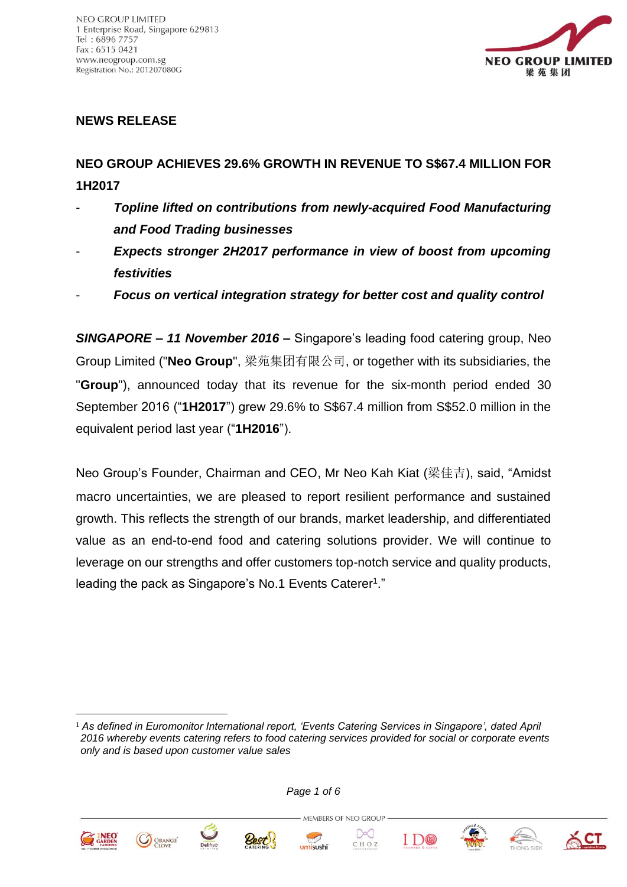

### **NEWS RELEASE**

# **NEO GROUP ACHIEVES 29.6% GROWTH IN REVENUE TO S\$67.4 MILLION FOR 1H2017**

- *Topline lifted on contributions from newly-acquired Food Manufacturing and Food Trading businesses*
- *Expects stronger 2H2017 performance in view of boost from upcoming festivities*
- *Focus on vertical integration strategy for better cost and quality control*

*SINGAPORE – 11 November 2016* **–** Singapore's leading food catering group, Neo Group Limited ("**Neo Group**", 梁苑集团有限公司, or together with its subsidiaries, the "**Group**"), announced today that its revenue for the six-month period ended 30 September 2016 ("**1H2017**") grew 29.6% to S\$67.4 million from S\$52.0 million in the equivalent period last year ("**1H2016**").

Neo Group's Founder, Chairman and CEO, Mr Neo Kah Kiat (梁佳吉), said, "Amidst macro uncertainties, we are pleased to report resilient performance and sustained growth. This reflects the strength of our brands, market leadership, and differentiated value as an end-to-end food and catering solutions provider. We will continue to leverage on our strengths and offer customers top-notch service and quality products, leading the pack as Singapore's No.1 Events Caterer<sup>1</sup>."

*Page 1 of 6*



1







MEMBERS OF NEO GROUP .

 $\infty$ 









<sup>1</sup> *As defined in Euromonitor International report, 'Events Catering Services in Singapore', dated April 2016 whereby events catering refers to food catering services provided for social or corporate events only and is based upon customer value sales*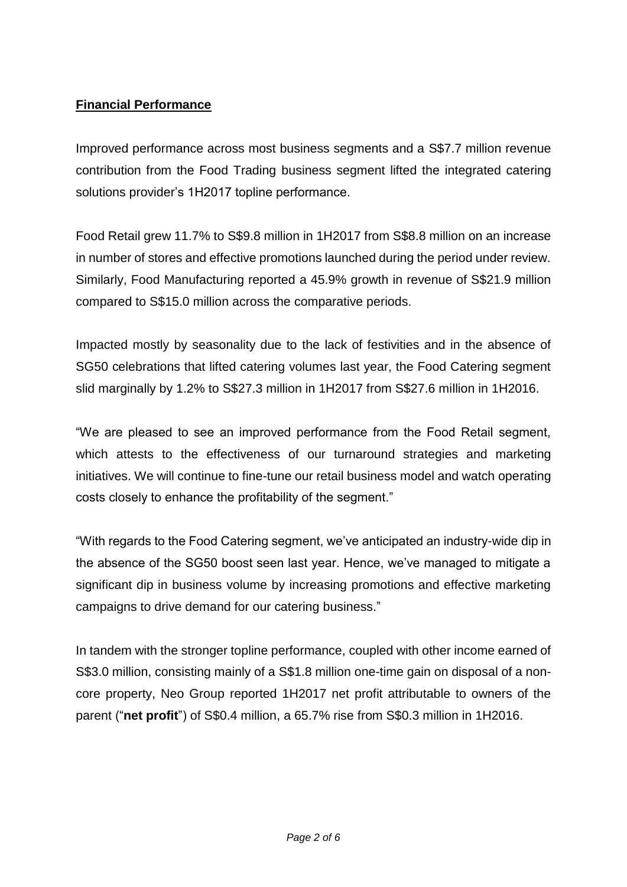# **Financial Performance**

Improved performance across most business segments and a S\$7.7 million revenue contribution from the Food Trading business segment lifted the integrated catering solutions provider's 1H2017 topline performance.

Food Retail grew 11.7% to S\$9.8 million in 1H2017 from S\$8.8 million on an increase in number of stores and effective promotions launched during the period under review. Similarly, Food Manufacturing reported a 45.9% growth in revenue of S\$21.9 million compared to S\$15.0 million across the comparative periods.

Impacted mostly by seasonality due to the lack of festivities and in the absence of SG50 celebrations that lifted catering volumes last year, the Food Catering segment slid marginally by 1.2% to S\$27.3 million in 1H2017 from S\$27.6 million in 1H2016.

"We are pleased to see an improved performance from the Food Retail segment, which attests to the effectiveness of our turnaround strategies and marketing initiatives. We will continue to fine-tune our retail business model and watch operating costs closely to enhance the profitability of the segment."

"With regards to the Food Catering segment, we've anticipated an industry-wide dip in the absence of the SG50 boost seen last year. Hence, we've managed to mitigate a significant dip in business volume by increasing promotions and effective marketing campaigns to drive demand for our catering business."

In tandem with the stronger topline performance, coupled with other income earned of S\$3.0 million, consisting mainly of a S\$1.8 million one-time gain on disposal of a noncore property, Neo Group reported 1H2017 net profit attributable to owners of the parent ("**net profit**") of S\$0.4 million, a 65.7% rise from S\$0.3 million in 1H2016.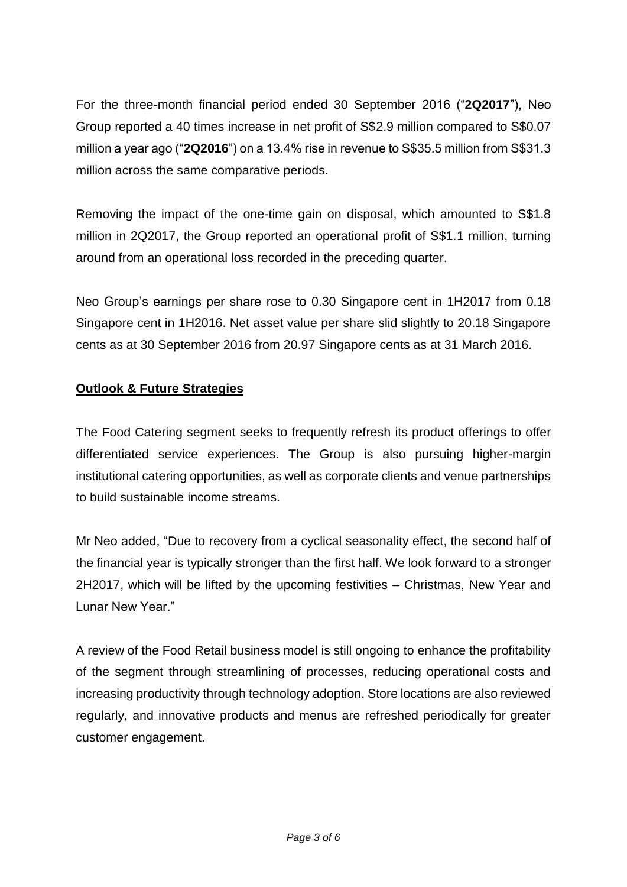For the three-month financial period ended 30 September 2016 ("**2Q2017**"), Neo Group reported a 40 times increase in net profit of S\$2.9 million compared to S\$0.07 million a year ago ("**2Q2016**") on a 13.4% rise in revenue to S\$35.5 million from S\$31.3 million across the same comparative periods.

Removing the impact of the one-time gain on disposal, which amounted to S\$1.8 million in 2Q2017, the Group reported an operational profit of S\$1.1 million, turning around from an operational loss recorded in the preceding quarter.

Neo Group's earnings per share rose to 0.30 Singapore cent in 1H2017 from 0.18 Singapore cent in 1H2016. Net asset value per share slid slightly to 20.18 Singapore cents as at 30 September 2016 from 20.97 Singapore cents as at 31 March 2016.

# **Outlook & Future Strategies**

The Food Catering segment seeks to frequently refresh its product offerings to offer differentiated service experiences. The Group is also pursuing higher-margin institutional catering opportunities, as well as corporate clients and venue partnerships to build sustainable income streams.

Mr Neo added, "Due to recovery from a cyclical seasonality effect, the second half of the financial year is typically stronger than the first half. We look forward to a stronger 2H2017, which will be lifted by the upcoming festivities – Christmas, New Year and Lunar New Year."

A review of the Food Retail business model is still ongoing to enhance the profitability of the segment through streamlining of processes, reducing operational costs and increasing productivity through technology adoption. Store locations are also reviewed regularly, and innovative products and menus are refreshed periodically for greater customer engagement.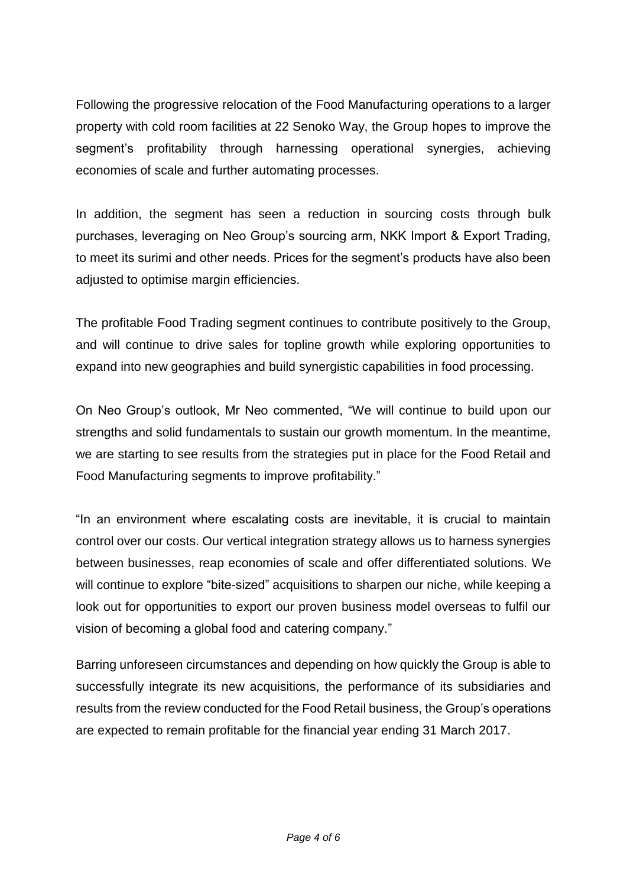Following the progressive relocation of the Food Manufacturing operations to a larger property with cold room facilities at 22 Senoko Way, the Group hopes to improve the segment's profitability through harnessing operational synergies, achieving economies of scale and further automating processes.

In addition, the segment has seen a reduction in sourcing costs through bulk purchases, leveraging on Neo Group's sourcing arm, NKK Import & Export Trading, to meet its surimi and other needs. Prices for the segment's products have also been adjusted to optimise margin efficiencies.

The profitable Food Trading segment continues to contribute positively to the Group, and will continue to drive sales for topline growth while exploring opportunities to expand into new geographies and build synergistic capabilities in food processing.

On Neo Group's outlook, Mr Neo commented, "We will continue to build upon our strengths and solid fundamentals to sustain our growth momentum. In the meantime, we are starting to see results from the strategies put in place for the Food Retail and Food Manufacturing segments to improve profitability."

"In an environment where escalating costs are inevitable, it is crucial to maintain control over our costs. Our vertical integration strategy allows us to harness synergies between businesses, reap economies of scale and offer differentiated solutions. We will continue to explore "bite-sized" acquisitions to sharpen our niche, while keeping a look out for opportunities to export our proven business model overseas to fulfil our vision of becoming a global food and catering company."

Barring unforeseen circumstances and depending on how quickly the Group is able to successfully integrate its new acquisitions, the performance of its subsidiaries and results from the review conducted for the Food Retail business, the Group's operations are expected to remain profitable for the financial year ending 31 March 2017.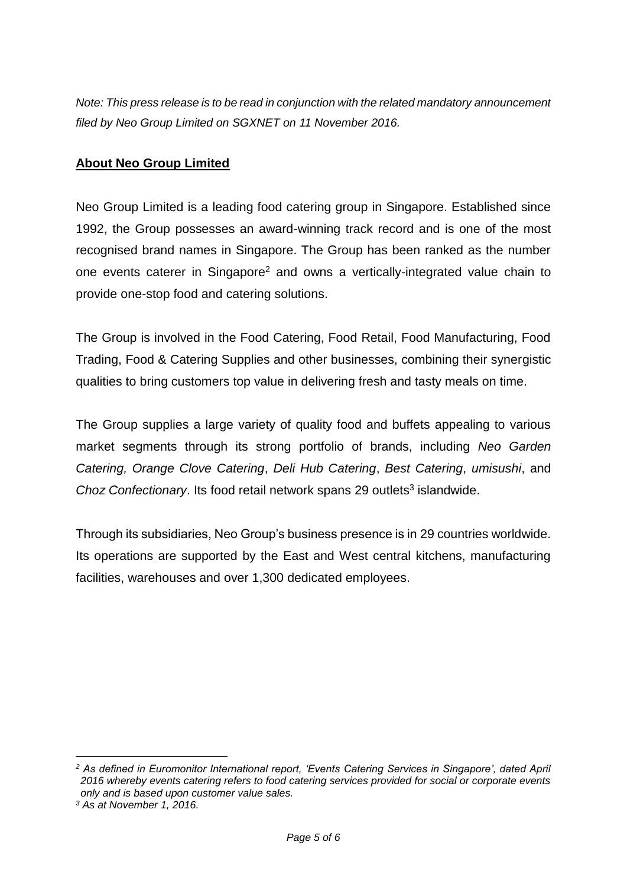*Note: This press release is to be read in conjunction with the related mandatory announcement filed by Neo Group Limited on SGXNET on 11 November 2016.*

#### **About Neo Group Limited**

Neo Group Limited is a leading food catering group in Singapore. Established since 1992, the Group possesses an award-winning track record and is one of the most recognised brand names in Singapore. The Group has been ranked as the number one events caterer in Singapore<sup>2</sup> and owns a vertically-integrated value chain to provide one-stop food and catering solutions.

The Group is involved in the Food Catering, Food Retail, Food Manufacturing, Food Trading, Food & Catering Supplies and other businesses, combining their synergistic qualities to bring customers top value in delivering fresh and tasty meals on time.

The Group supplies a large variety of quality food and buffets appealing to various market segments through its strong portfolio of brands, including *Neo Garden Catering, Orange Clove Catering*, *Deli Hub Catering*, *Best Catering*, *umisushi*, and Choz Confectionary. Its food retail network spans 29 outlets<sup>3</sup> islandwide.

Through its subsidiaries, Neo Group's business presence is in 29 countries worldwide. Its operations are supported by the East and West central kitchens, manufacturing facilities, warehouses and over 1,300 dedicated employees.

1

*<sup>2</sup> As defined in Euromonitor International report, 'Events Catering Services in Singapore', dated April 2016 whereby events catering refers to food catering services provided for social or corporate events only and is based upon customer value sales.*

*<sup>3</sup> As at November 1, 2016.*